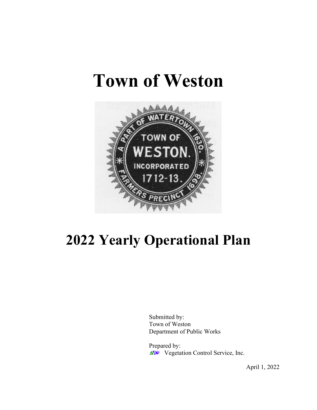# **Town of Weston**



# **2022 Yearly Operational Plan**

Submitted by: Town of Weston Department of Public Works

Prepared by: **AVC** Vegetation Control Service, Inc.

April 1, 2022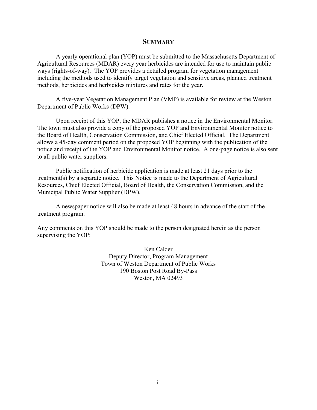#### **SUMMARY**

A yearly operational plan (YOP) must be submitted to the Massachusetts Department of Agricultural Resources (MDAR) every year herbicides are intended for use to maintain public ways (rights-of-way). The YOP provides a detailed program for vegetation management including the methods used to identify target vegetation and sensitive areas, planned treatment methods, herbicides and herbicides mixtures and rates for the year.

A five-year Vegetation Management Plan (VMP) is available for review at the Weston Department of Public Works (DPW).

Upon receipt of this YOP, the MDAR publishes a notice in the Environmental Monitor. The town must also provide a copy of the proposed YOP and Environmental Monitor notice to the Board of Health, Conservation Commission, and Chief Elected Official. The Department allows a 45-day comment period on the proposed YOP beginning with the publication of the notice and receipt of the YOP and Environmental Monitor notice. A one-page notice is also sent to all public water suppliers.

Public notification of herbicide application is made at least 21 days prior to the treatment(s) by a separate notice. This Notice is made to the Department of Agricultural Resources, Chief Elected Official, Board of Health, the Conservation Commission, and the Municipal Public Water Supplier (DPW).

A newspaper notice will also be made at least 48 hours in advance of the start of the treatment program.

Any comments on this YOP should be made to the person designated herein as the person supervising the YOP:

> Ken Calder Deputy Director, Program Management Town of Weston Department of Public Works 190 Boston Post Road By-Pass Weston, MA 02493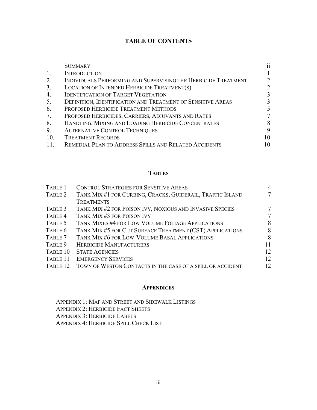# **TABLE OF CONTENTS**

|     | <b>SUMMARY</b>                                                 | $\ddot{\mathbf{i}}$ |
|-----|----------------------------------------------------------------|---------------------|
|     | <b>INTRODUCTION</b>                                            |                     |
| 2   | INDIVIDUALS PERFORMING AND SUPERVISING THE HERBICIDE TREATMENT |                     |
| 3.  | LOCATION OF INTENDED HERBICIDE TREATMENT(S)                    |                     |
| 4.  | <b>IDENTIFICATION OF TARGET VEGETATION</b>                     | 3                   |
| 5.  | DEFINITION, IDENTIFICATION AND TREATMENT OF SENSITIVE AREAS    | 3                   |
| 6.  | PROPOSED HERBICIDE TREATMENT METHODS                           |                     |
| 7.  | PROPOSED HERBICIDES, CARRIERS, ADJUVANTS AND RATES             |                     |
| 8.  | HANDLING, MIXING AND LOADING HERBICIDE CONCENTRATES            | 8                   |
| 9.  | <b>ALTERNATIVE CONTROL TECHNIQUES</b>                          | 9                   |
| 10. | <b>TREATMENT RECORDS</b>                                       | 10                  |
|     | REMEDIAL PLAN TO ADDRESS SPILLS AND RELATED ACCIDENTS          | 10                  |

#### **TABLES**

| TABLE 1  | <b>CONTROL STRATEGIES FOR SENSITIVE AREAS</b>              | 4      |
|----------|------------------------------------------------------------|--------|
| TABLE 2  | TANK MIX #1 FOR CURBING, CRACKS, GUIDERAIL, TRAFFIC ISLAND | $\tau$ |
|          | <b>TREATMENTS</b>                                          |        |
| TABLE 3  | TANK MIX #2 FOR POISON IVY, NOXIOUS AND INVASIVE SPECIES   | 7      |
| TABLE 4  | TANK MIX #3 FOR POISON IVY                                 | 7      |
| TABLE 5  | TANK MIXES #4 FOR LOW VOLUME FOLIAGE APPLICATIONS          | 8      |
| TABLE 6  | TANK MIX #5 FOR CUT SURFACE TREATMENT (CST) APPLICATIONS   | 8      |
| TABLE 7  | TANK MIX #6 FOR LOW-VOLUME BASAL APPLICATIONS              | 8      |
| TABLE 9  | <b>HERBICIDE MANUFACTURERS</b>                             | 11     |
| TABLE 10 | <b>STATE AGENCIES</b>                                      | 12     |
| TABLE 11 | <b>EMERGENCY SERVICES</b>                                  | 12     |
| TABLE 12 | TOWN OF WESTON CONTACTS IN THE CASE OF A SPILL OR ACCIDENT | 12     |

#### **APPENDICES**

APPENDIX 1: MAP AND STREET AND SIDEWALK LISTINGS APPENDIX 2: HERBICIDE FACT SHEETS APPENDIX 3: HERBICIDE LABELS APPENDIX 4: HERBICIDE SPILL CHECK LIST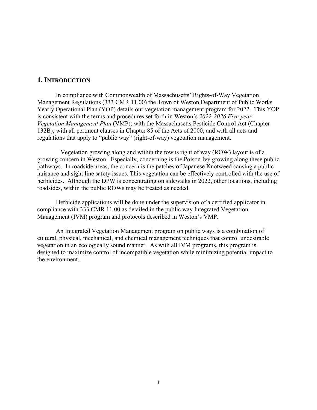#### **1. INTRODUCTION**

In compliance with Commonwealth of Massachusetts' Rights-of-Way Vegetation Management Regulations (333 CMR 11.00) the Town of Weston Department of Public Works Yearly Operational Plan (YOP) details our vegetation management program for 2022. This YOP is consistent with the terms and procedures set forth in Weston's *2022-2026 Five-year Vegetation Management Plan* (VMP); with the Massachusetts Pesticide Control Act (Chapter 132B); with all pertinent clauses in Chapter 85 of the Acts of 2000; and with all acts and regulations that apply to "public way" (right-of-way) vegetation management.

 Vegetation growing along and within the towns right of way (ROW) layout is of a growing concern in Weston. Especially, concerning is the Poison Ivy growing along these public pathways. In roadside areas, the concern is the patches of Japanese Knotweed causing a public nuisance and sight line safety issues. This vegetation can be effectively controlled with the use of herbicides. Although the DPW is concentrating on sidewalks in 2022, other locations, including roadsides, within the public ROWs may be treated as needed.

Herbicide applications will be done under the supervision of a certified applicator in compliance with 333 CMR 11.00 as detailed in the public way Integrated Vegetation Management (IVM) program and protocols described in Weston's VMP.

An Integrated Vegetation Management program on public ways is a combination of cultural, physical, mechanical, and chemical management techniques that control undesirable vegetation in an ecologically sound manner. As with all IVM programs, this program is designed to maximize control of incompatible vegetation while minimizing potential impact to the environment.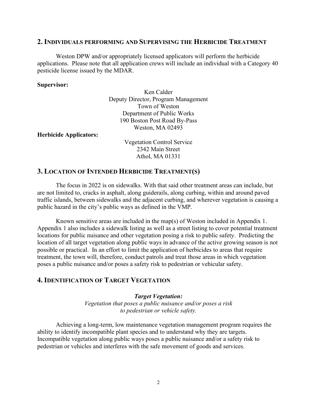#### **2. INDIVIDUALS PERFORMING AND SUPERVISING THE HERBICIDE TREATMENT**

Weston DPW and/or appropriately licensed applicators will perform the herbicide applications. Please note that all application crews will include an individual with a Category 40 pesticide license issued by the MDAR.

#### **Supervisor:**

Ken Calder Deputy Director, Program Management Town of Weston Department of Public Works 190 Boston Post Road By-Pass Weston, MA 02493

**Herbicide Applicators:**

Vegetation Control Service 2342 Main Street Athol, MA 01331

#### **3. LOCATION OF INTENDED HERBICIDE TREATMENT(S)**

The focus in 2022 is on sidewalks. With that said other treatment areas can include, but are not limited to, cracks in asphalt, along guiderails, along curbing, within and around paved traffic islands, between sidewalks and the adjacent curbing, and wherever vegetation is causing a public hazard in the city's public ways as defined in the VMP.

Known sensitive areas are included in the map(s) of Weston included in Appendix 1. Appendix 1 also includes a sidewalk listing as well as a street listing to cover potential treatment locations for public nuisance and other vegetation posing a risk to public safety. Predicting the location of all target vegetation along public ways in advance of the active growing season is not possible or practical. In an effort to limit the application of herbicides to areas that require treatment, the town will, therefore, conduct patrols and treat those areas in which vegetation poses a public nuisance and/or poses a safety risk to pedestrian or vehicular safety.

#### **4. IDENTIFICATION OF TARGET VEGETATION**

#### *Target Vegetation:*

*Vegetation that poses a public nuisance and/or poses a risk to pedestrian or vehicle safety.*

Achieving a long-term, low maintenance vegetation management program requires the ability to identify incompatible plant species and to understand why they are targets. Incompatible vegetation along public ways poses a public nuisance and/or a safety risk to pedestrian or vehicles and interferes with the safe movement of goods and services.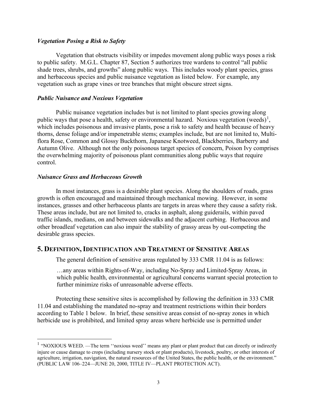#### *Vegetation Posing a Risk to Safety*

Vegetation that obstructs visibility or impedes movement along public ways poses a risk to public safety. M.G.L. Chapter 87, Section 5 authorizes tree wardens to control "all public shade trees, shrubs, and growths" along public ways. This includes woody plant species, grass and herbaceous species and public nuisance vegetation as listed below. For example, any vegetation such as grape vines or tree branches that might obscure street signs.

#### *Public Nuisance and Noxious Vegetation*

Public nuisance vegetation includes but is not limited to plant species growing along public ways that pose a health, safety or environmental hazard. Noxious vegetation (weeds)<sup>[1](#page-5-0)</sup>, which includes poisonous and invasive plants, pose a risk to safety and health because of heavy thorns, dense foliage and/or impenetrable stems; examples include, but are not limited to, Multiflora Rose, Common and Glossy Buckthorn, Japanese Knotweed, Blackberries, Barberry and Autumn Olive. Although not the only poisonous target species of concern, Poison Ivy comprises the overwhelming majority of poisonous plant communities along public ways that require control.

#### *Nuisance Grass and Herbaceous Growth*

In most instances, grass is a desirable plant species. Along the shoulders of roads, grass growth is often encouraged and maintained through mechanical mowing. However, in some instances, grasses and other herbaceous plants are targets in areas where they cause a safety risk. These areas include, but are not limited to, cracks in asphalt, along guiderails, within paved traffic islands, medians, on and between sidewalks and the adjacent curbing. Herbaceous and other broadleaf vegetation can also impair the stability of grassy areas by out-competing the desirable grass species.

#### **5. DEFINITION,IDENTIFICATION AND TREATMENT OF SENSITIVE AREAS**

The general definition of sensitive areas regulated by 333 CMR 11.04 is as follows:

…any areas within Rights-of-Way, including No-Spray and Limited-Spray Areas, in which public health, environmental or agricultural concerns warrant special protection to further minimize risks of unreasonable adverse effects.

Protecting these sensitive sites is accomplished by following the definition in 333 CMR 11.04 and establishing the mandated no-spray and treatment restrictions within their borders according to Table 1 below. In brief, these sensitive areas consist of no-spray zones in which herbicide use is prohibited, and limited spray areas where herbicide use is permitted under

<span id="page-5-0"></span><sup>&</sup>lt;sup>1</sup> "NOXIOUS WEED. —The term "noxious weed" means any plant or plant product that can directly or indirectly injure or cause damage to crops (including nursery stock or plant products), livestock, poultry, or other interests of agriculture, irrigation, navigation, the natural resources of the United States, the public health, or the environment." (PUBLIC LAW 106–224—JUNE 20, 2000, TITLE IV—PLANT PROTECTION ACT).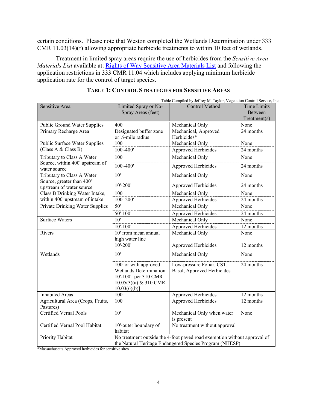certain conditions. Please note that Weston completed the Wetlands Determination under 333 CMR 11.03(14)(f) allowing appropriate herbicide treatments to within 10 feet of wetlands.

Treatment in limited spray areas require the use of herbicides from the *Sensitive Area Materials List* available at: [Rights of Way Sensitive Area Materials List](https://www.mass.gov/service-details/rights-of-way-sensitive-area-materials-list#:%7E:text=List%20of%20Sensitive%20Materials%20Active,Ingredient%20Factsheets%3A%20Glyphosate%20Imazapyr%20Metsulfuron%20Methyl) and following the application restrictions in 333 CMR 11.04 which includes applying minimum herbicide application rate for the control of target species.

|                                                       |                                                                                                                                     | Table Compiled by Jeffrey M. Taylor, Vegetation Control Service, Inc. |                    |
|-------------------------------------------------------|-------------------------------------------------------------------------------------------------------------------------------------|-----------------------------------------------------------------------|--------------------|
| Sensitive Area                                        | Limited Spray or No-                                                                                                                | <b>Control Method</b>                                                 | <b>Time Limits</b> |
|                                                       | Spray Areas (feet)                                                                                                                  |                                                                       | Between            |
|                                                       |                                                                                                                                     |                                                                       | Treatment(s)       |
| Public Ground Water Supplies                          | 400'                                                                                                                                | Mechanical Only                                                       | None               |
| Primary Recharge Area                                 | Designated buffer zone                                                                                                              | Mechanical, Approved                                                  | 24 months          |
|                                                       | or 1/2-mile radius                                                                                                                  | Herbicides*                                                           |                    |
| Public Surface Water Supplies                         | 100'                                                                                                                                | Mechanical Only                                                       | None               |
| (Class A & Class B)                                   | $100' - 400'$                                                                                                                       | Approved Herbicides                                                   | 24 months          |
| Tributary to Class A Water                            | 100'                                                                                                                                | Mechanical Only                                                       | None               |
| Source, within 400' upstream of<br>water source       | 100'-400'                                                                                                                           | Approved Herbicides                                                   | 24 months          |
| Tributary to Class A Water                            | 10'                                                                                                                                 | Mechanical Only                                                       | None               |
| Source, greater than 400'<br>upstream of water source | $10' - 200'$                                                                                                                        | Approved Herbicides                                                   | 24 months          |
| Class B Drinking Water Intake,                        | 100'                                                                                                                                | Mechanical Only                                                       | None               |
| within 400' upstream of intake                        | 100'-200'                                                                                                                           | Approved Herbicides                                                   | 24 months          |
| <b>Private Drinking Water Supplies</b>                | 50'                                                                                                                                 | Mechanical Only                                                       | None               |
|                                                       | $50' - 100'$                                                                                                                        | Approved Herbicides                                                   | 24 months          |
| <b>Surface Waters</b>                                 | $\overline{10}$                                                                                                                     | Mechanical Only                                                       | None               |
|                                                       | $10' - 100'$                                                                                                                        | Approved Herbicides                                                   | 12 months          |
| Rivers                                                | 10' from mean annual                                                                                                                | Mechanical Only                                                       | None               |
|                                                       | high water line                                                                                                                     |                                                                       |                    |
|                                                       | $10' - 200'$                                                                                                                        | Approved Herbicides                                                   | 12 months          |
| Wetlands                                              | 10'                                                                                                                                 | Mechanical Only                                                       | None               |
|                                                       | 100' or with approved<br>Wetlands Determination<br>10'-100' [per 310 CMR<br>$10.05(3)(a)$ & 310 CMR<br>$10.03(6)(b)$ ]              | Low-pressure Foliar, CST,<br>Basal, Approved Herbicides               | 24 months          |
| <b>Inhabited Areas</b>                                | 100'                                                                                                                                | Approved Herbicides                                                   | 12 months          |
| Agricultural Area (Crops, Fruits,<br>Pastures)        | 100'                                                                                                                                | Approved Herbicides                                                   | 12 months          |
| <b>Certified Vernal Pools</b>                         | 10'                                                                                                                                 | Mechanical Only when water<br>is present                              | None               |
| Certified Vernal Pool Habitat                         | 10'-outer boundary of<br>habitat                                                                                                    | No treatment without approval                                         |                    |
| Priority Habitat                                      | No treatment outside the 4-foot paved road exemption without approval of<br>the Natural Heritage Endangered Species Program (NHESP) |                                                                       |                    |

#### **TABLE 1: CONTROL STRATEGIES FOR SENSITIVE AREAS**

\*Massachusetts Approved herbicides for sensitive sites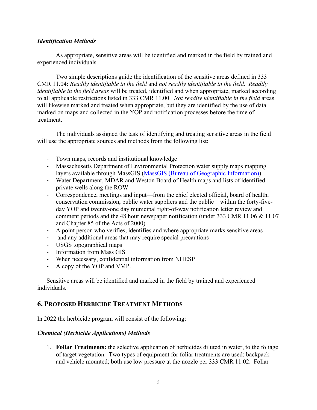#### *Identification Methods*

 As appropriate, sensitive areas will be identified and marked in the field by trained and experienced individuals.

Two simple descriptions guide the identification of the sensitive areas defined in 333 CMR 11.04: *Readily identifiable in the field* and *not readily identifiable in the field. Readily identifiable in the field areas* will be treated, identified and when appropriate, marked according to all applicable restrictions listed in 333 CMR 11.00. *Not readily identifiable in the field* areas will likewise marked and treated when appropriate, but they are identified by the use of data marked on maps and collected in the YOP and notification processes before the time of treatment.

 The individuals assigned the task of identifying and treating sensitive areas in the field will use the appropriate sources and methods from the following list:

- Town maps, records and institutional knowledge
- Massachusetts Department of Environmental Protection water supply maps mapping layers available through MassGIS [\(MassGIS \(Bureau of Geographic Information\)\)](https://www.mass.gov/orgs/massgis-bureau-of-geographic-information)
- Water Department, MDAR and Weston Board of Health maps and lists of identified private wells along the ROW
- Correspondence, meetings and input—from the chief elected official, board of health, conservation commission, public water suppliers and the public—within the forty-fiveday YOP and twenty-one day municipal right-of-way notification letter review and comment periods and the 48 hour newspaper notification (under 333 CMR 11.06 & 11.07 and Chapter 85 of the Acts of 2000)
- A point person who verifies, identifies and where appropriate marks sensitive areas
- and any additional areas that may require special precautions
- USGS topographical maps
- Information from Mass GIS
- When necessary, confidential information from NHESP
- A copy of the YOP and VMP.

Sensitive areas will be identified and marked in the field by trained and experienced individuals.

# **6. PROPOSED HERBICIDE TREATMENT METHODS**

In 2022 the herbicide program will consist of the following:

#### *Chemical (Herbicide Applications) Methods*

1. **Foliar Treatments:** the selective application of herbicides diluted in water, to the foliage of target vegetation. Two types of equipment for foliar treatments are used: backpack and vehicle mounted; both use low pressure at the nozzle per 333 CMR 11.02. Foliar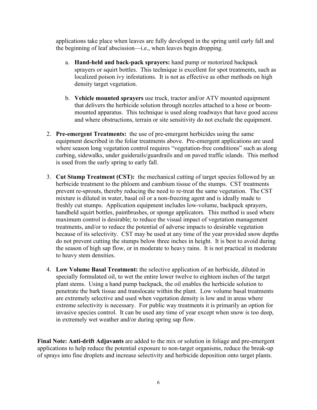applications take place when leaves are fully developed in the spring until early fall and the beginning of leaf abscission—i.e., when leaves begin dropping.

- a. **Hand-held and back-pack sprayers:** hand pump or motorized backpack sprayers or squirt bottles. This technique is excellent for spot treatments, such as localized poison ivy infestations. It is not as effective as other methods on high density target vegetation.
- b. **Vehicle mounted sprayers** use truck, tractor and/or ATV mounted equipment that delivers the herbicide solution through nozzles attached to a hose or boommounted apparatus. This technique is used along roadways that have good access and where obstructions, terrain or site sensitivity do not exclude the equipment.
- 2. **Pre-emergent Treatments:** the use of pre-emergent herbicides using the same equipment described in the foliar treatments above. Pre-emergent applications are used where season long vegetation control requires "vegetation-free conditions" such as along curbing, sidewalks, under guiderails/guardrails and on paved traffic islands. This method is used from the early spring to early fall.
- 3. **Cut Stump Treatment (CST):** the mechanical cutting of target species followed by an herbicide treatment to the phloem and cambium tissue of the stumps. CST treatments prevent re-sprouts, thereby reducing the need to re-treat the same vegetation. The CST mixture is diluted in water, basal oil or a non-freezing agent and is ideally made to freshly cut stumps. Application equipment includes low-volume, backpack sprayers, handheld squirt bottles, paintbrushes, or sponge applicators. This method is used where maximum control is desirable; to reduce the visual impact of vegetation management treatments, and/or to reduce the potential of adverse impacts to desirable vegetation because of its selectivity. CST may be used at any time of the year provided snow depths do not prevent cutting the stumps below three inches in height. It is best to avoid during the season of high sap flow, or in moderate to heavy rains. It is not practical in moderate to heavy stem densities.
- 4. **Low Volume Basal Treatment:** the selective application of an herbicide, diluted in specially formulated oil, to wet the entire lower twelve to eighteen inches of the target plant stems. Using a hand pump backpack, the oil enables the herbicide solution to penetrate the bark tissue and translocate within the plant. Low volume basal treatments are extremely selective and used when vegetation density is low and in areas where extreme selectivity is necessary. For public way treatments it is primarily an option for invasive species control. It can be used any time of year except when snow is too deep, in extremely wet weather and/or during spring sap flow.

**Final Note: Anti-drift Adjuvants** are added to the mix or solution in foliage and pre-emergent applications to help reduce the potential exposure to non-target organisms, reduce the break-up of sprays into fine droplets and increase selectivity and herbicide deposition onto target plants.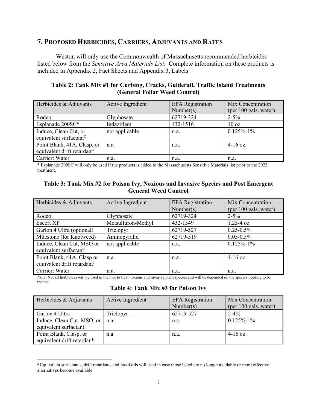## **7. PROPOSED HERBICIDES, CARRIERS, ADJUVANTS AND RATES**

Weston will only use the Commonwealth of Massachusetts recommended herbicides listed below from the *Sensitive Area Materials List*. Complete information on these products is included in Appendix 2, Fact Sheets and Appendix 3, Labels

**Table 2: Tank Mix #1 for Curbing, Cracks, Guiderail, Traffic Island Treatments (General Foliar Weed Control)** 

| Herbicides & Adjuvants                  | Active Ingredient | <b>EPA</b> Registration<br>Number(s) | Mix Concentration<br>(per 100 gals. water) |
|-----------------------------------------|-------------------|--------------------------------------|--------------------------------------------|
| Rodeo                                   | Glyphosate        | 62719-324                            | $2 - 5\%$                                  |
| Esplanade 200SC*                        | Indaziflam        | 432-1516                             | $10 \text{ oz.}$                           |
| Induce, Clean Cut, or                   | not applicable    | n.a.                                 | $0.125\% - 1\%$                            |
| equivalent surfactant <sup>2</sup>      |                   |                                      |                                            |
| Point Blank, 41A, Clasp, or             | n.a.              | n.a.                                 | $4-16$ oz.                                 |
| equivalent drift retardant <sup>1</sup> |                   |                                      |                                            |
| Carrier: Water                          | n.a.              | n.a.                                 | n.a.                                       |

\* Esplanade 200SC will only be used if the products is added to the Massachusetts Sensitive Materials list prior to the 2022 treatment.

#### **Table 3: Tank Mix #2 for Poison Ivy, Noxious and Invasive Species and Post Emergent General Weed Control**

| Herbicides & Adjuvants                  | Active Ingredient  | <b>EPA</b> Registration | Mix Concentration     |
|-----------------------------------------|--------------------|-------------------------|-----------------------|
|                                         |                    | Number(s)               | (per 100 gals. water) |
| Rodeo                                   | Glyphosate         | 62719-324               | $2 - 5\%$             |
| <b>Escort XP</b>                        | Metsulfuron-Methyl | 432-1549                | $1.25 - 4$ oz.        |
| Garlon 4 Ultra (optional)               | Triclopyr          | 62719-527               | $0.25 - 0.5\%$        |
| Milestone (for Knotweed)                | Aminopyralid       | 62719-519               | $0.05 - 0.5\%$        |
| Induce, Clean Cut, MSO or               | not applicable     | n.a.                    | $0.125\% - 1\%$       |
| equivalent surfactant <sup>1</sup>      |                    |                         |                       |
| Point Blank, 41A, Clasp or              | n.a.               | n.a.                    | $4-16$ oz.            |
| equivalent drift retardant <sup>1</sup> |                    |                         |                       |
| Carrier: Water                          | n.a.               | n.a.                    | n.a.                  |

Note: Not all herbicides will be used in the mix to treat noxious and invasive plant species and will be depended on the species needing to be treated.

#### **Table 4: Tank Mix #3 for Poison Ivy**

| Herbicides & Adjuvants                   | Active Ingredient | <b>EPA</b> Registration<br>Number(s) | Mix Concentration<br>(per 100 gals. water) |
|------------------------------------------|-------------------|--------------------------------------|--------------------------------------------|
| Garlon 4 Ultra                           | Triclopyr         | 62719-527                            | $2 - 4\%$                                  |
| Induce, Clean Cut, MSO, or               | n.a.              | n.a.                                 | $0.125\% - 1\%$                            |
| equivalent surfactant <sup>1</sup>       |                   |                                      |                                            |
| Point Blank, Clasp, or                   | n.a.              | n.a.                                 | $4-16$ oz.                                 |
| equivalent drift retardan <sup>1</sup> t |                   |                                      |                                            |

<span id="page-9-0"></span><sup>&</sup>lt;sup>2</sup> Equivalent surfactants, drift retardants and basal oils will used in case those listed are no longer available or more effective alternatives become available.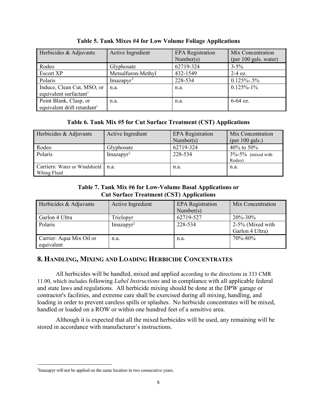| Herbicides & Adjuvants                                            | Active Ingredient        | <b>EPA</b> Registration<br>Number(s) | Mix Concentration<br>(per 100 gals. water) |
|-------------------------------------------------------------------|--------------------------|--------------------------------------|--------------------------------------------|
| Rodeo                                                             | Glyphosate               | 62719-324                            | $3 - 5\%$                                  |
| <b>Escort XP</b>                                                  | Metsulfuron-Methyl       | 432-1549                             | $2-4$ oz.                                  |
| Polaris                                                           | $Imaz$ apyr <sup>3</sup> | 228-534                              | $0.125\% - 0.5\%$                          |
| Induce, Clean Cut, MSO, or<br>equivalent surfactant <sup>1</sup>  | n.a.                     | n.a.                                 | $0.125\% - 1\%$                            |
| Point Blank, Clasp, or<br>equivalent drift retardant <sup>1</sup> | n.a.                     | n.a.                                 | $6-64$ oz.                                 |

**Table 5. Tank Mixes #4 for Low Volume Foliage Applications** 

#### **Table 6. Tank Mix #5 for Cut Surface Treatment (CST) Applications**

| Herbicides & Adjuvants                              | Active Ingredient        | <b>EPA</b> Registration<br>Number(s) | Mix Concentration<br>(per $100$ gals.) |
|-----------------------------------------------------|--------------------------|--------------------------------------|----------------------------------------|
| Rodeo                                               | Glyphosate               | 62719-324                            | 40% to 50%                             |
| Polaris                                             | $Imaz$ apyr <sup>2</sup> | 228-534                              | $3\% - 5\%$ (mixed with<br>Rodeo)      |
| Carriers: Water or Windshield   n.a.<br>Whing Fluid |                          | n.a.                                 | n.a.                                   |

#### **Table 7. Tank Mix #6 for Low-Volume Basal Applications or Cut Surface Treatment (CST) Applications**

| Herbicides & Adjuvants                 | Active Ingredient | <b>EPA</b> Registration<br>Number(s) | Mix Concentration                   |
|----------------------------------------|-------------------|--------------------------------------|-------------------------------------|
| Garlon 4 Ultra                         | Triclopyr         | 62719-527                            | 20%-30%                             |
| Polaris                                | $Imazapyr^2$      | 228-534                              | 2-5% (Mixed with<br>Garlon 4 Ultra) |
| Carrier: Aqua Mix Oil or<br>equivalent | n.a.              | n.a.                                 | 70\%-80\%                           |

# **8. HANDLING, MIXING AND LOADING HERBICIDE CONCENTRATES**

 All herbicides will be handled, mixed and applied according to the directions in 333 CMR 11.00, which includes following *Label Instructions* and in compliance with all applicable federal and state laws and regulations. All herbicide mixing should be done at the DPW garage or contractor's facilities, and extreme care shall be exercised during all mixing, handling, and loading in order to prevent careless spills or splashes. No herbicide concentrates will be mixed, handled or loaded on a ROW or within one hundred feet of a sensitive area.

Although it is expected that all the mixed herbicides will be used, any remaining will be stored in accordance with manufacturer's instructions.

<span id="page-10-0"></span><sup>&</sup>lt;sup>3</sup>Imazapyr will not be applied on the same location in two consecutive years.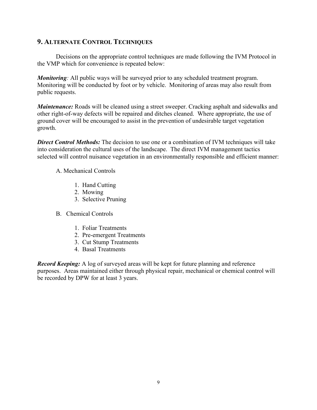# **9. ALTERNATE CONTROL TECHNIQUES**

Decisions on the appropriate control techniques are made following the IVM Protocol in the VMP which for convenience is repeated below:

*Monitoring*: All public ways will be surveyed prior to any scheduled treatment program. Monitoring will be conducted by foot or by vehicle. Monitoring of areas may also result from public requests.

*Maintenance:* Roads will be cleaned using a street sweeper. Cracking asphalt and sidewalks and other right-of-way defects will be repaired and ditches cleaned. Where appropriate, the use of ground cover will be encouraged to assist in the prevention of undesirable target vegetation growth.

**Direct Control Methods:** The decision to use one or a combination of IVM techniques will take into consideration the cultural uses of the landscape. The direct IVM management tactics selected will control nuisance vegetation in an environmentally responsible and efficient manner:

#### A. Mechanical Controls

- 1. Hand Cutting
- 2. Mowing
- 3. Selective Pruning
- B. Chemical Controls
	- 1. Foliar Treatments
	- 2. Pre-emergent Treatments
	- 3. Cut Stump Treatments
	- 4. Basal Treatments

*Record Keeping:* A log of surveyed areas will be kept for future planning and reference purposes. Areas maintained either through physical repair, mechanical or chemical control will be recorded by DPW for at least 3 years.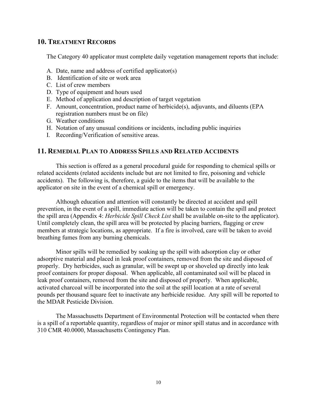#### **10. TREATMENT RECORDS**

The Category 40 applicator must complete daily vegetation management reports that include:

- A. Date, name and address of certified applicator(s)
- B. Identification of site or work area
- C. List of crew members
- D. Type of equipment and hours used
- E. Method of application and description of target vegetation
- F. Amount, concentration, product name of herbicide(s), adjuvants, and diluents (EPA registration numbers must be on file)
- G. Weather conditions
- H. Notation of any unusual conditions or incidents, including public inquiries
- I. Recording/Verification of sensitive areas.

#### **11. REMEDIAL PLAN TO ADDRESS SPILLS AND RELATED ACCIDENTS**

This section is offered as a general procedural guide for responding to chemical spills or related accidents (related accidents include but are not limited to fire, poisoning and vehicle accidents). The following is, therefore, a guide to the items that will be available to the applicator on site in the event of a chemical spill or emergency.

Although education and attention will constantly be directed at accident and spill prevention, in the event of a spill, immediate action will be taken to contain the spill and protect the spill area (Appendix 4: *Herbicide Spill Check List* shall be available on-site to the applicator). Until completely clean, the spill area will be protected by placing barriers, flagging or crew members at strategic locations, as appropriate. If a fire is involved, care will be taken to avoid breathing fumes from any burning chemicals.

Minor spills will be remedied by soaking up the spill with adsorption clay or other adsorptive material and placed in leak proof containers, removed from the site and disposed of properly. Dry herbicides, such as granular, will be swept up or shoveled up directly into leak proof containers for proper disposal. When applicable, all contaminated soil will be placed in leak proof containers, removed from the site and disposed of properly. When applicable, activated charcoal will be incorporated into the soil at the spill location at a rate of several pounds per thousand square feet to inactivate any herbicide residue. Any spill will be reported to the MDAR Pesticide Division.

The Massachusetts Department of Environmental Protection will be contacted when there is a spill of a reportable quantity, regardless of major or minor spill status and in accordance with 310 CMR 40.0000, Massachusetts Contingency Plan.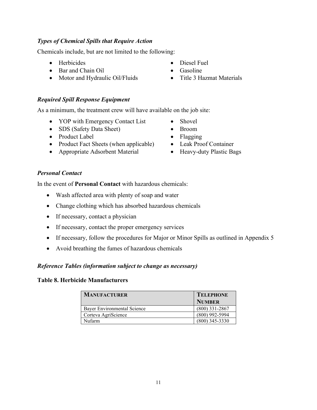# *Types of Chemical Spills that Require Action*

Chemicals include, but are not limited to the following:

- Herbicides Diesel Fuel
- Bar and Chain Oil Gasoline
- Motor and Hydraulic Oil/Fluids Title 3 Hazmat Materials

# *Required Spill Response Equipment*

As a minimum, the treatment crew will have available on the job site:

- YOP with Emergency Contact List Shovel
- SDS (Safety Data Sheet) Broom
- Product Label Flagging
- Product Fact Sheets (when applicable) Leak Proof Container
- Appropriate Adsorbent Material Heavy-duty Plastic Bags
- 
- 
- 
- 
- 
- 
- 
- 

## *Personal Contact*

In the event of **Personal Contact** with hazardous chemicals:

- Wash affected area with plenty of soap and water
- Change clothing which has absorbed hazardous chemicals
- If necessary, contact a physician
- If necessary, contact the proper emergency services
- If necessary, follow the procedures for Major or Minor Spills as outlined in Appendix 5
- Avoid breathing the fumes of hazardous chemicals

# *Reference Tables (information subject to change as necessary)*

#### **Table 8. Herbicide Manufacturers**

| <b>MANUFACTURER</b>         | <b>TELEPHONE</b> |
|-----------------------------|------------------|
|                             | <b>NUMBER</b>    |
| Bayer Environmental Science | $(800)$ 331-2867 |
| Corteva AgriScience         | $(800)$ 992-5994 |
| <b>Nufarm</b>               | $(800)$ 345-3330 |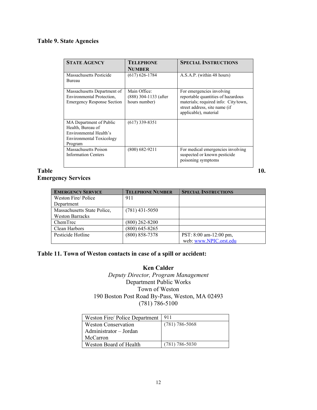#### **Table 9. State Agencies**

| <b>STATE AGENCY</b>                                                                                           | <b>TELEPHONE</b>                                       | <b>SPECIAL INSTRUCTIONS</b>                                                                                                                                       |
|---------------------------------------------------------------------------------------------------------------|--------------------------------------------------------|-------------------------------------------------------------------------------------------------------------------------------------------------------------------|
|                                                                                                               | <b>NUMBER</b>                                          |                                                                                                                                                                   |
| Massachusetts Pesticide                                                                                       | $(617) 626 - 1784$                                     | A.S.A.P. (within 48 hours)                                                                                                                                        |
| Bureau                                                                                                        |                                                        |                                                                                                                                                                   |
| Massachusetts Department of<br>Environmental Protection,<br><b>Emergency Response Section</b>                 | Main Office:<br>(888) 304-1133 (after<br>hours number) | For emergencies involving<br>reportable quantities of hazardous<br>materials; required info: City/town,<br>street address, site name (if<br>applicable), material |
| MA Department of Public<br>Health, Bureau of<br>Environmental Health's<br>Environmental Toxicology<br>Program | $(617)$ 339-8351                                       |                                                                                                                                                                   |
| Massachusetts Poison<br><b>Information Centers</b>                                                            | $(800)$ 682-9211                                       | For medical emergencies involving<br>suspected or known pesticide<br>poisoning symptoms                                                                           |

#### **Table** 10. **Emergency Services**

**EMERGENCY SERVICE TELEPHONE NUMBER SPECIAL INSTRUCTIONS** Weston Fire/ Police Department 911 Massachusetts State Police, Weston Barracks<br>ChemTrec (781) 431-5050  $(800)$  262-8200 Clean Harbors (800) 645-8265<br>
Pesticide Hotline (800) 858-7378 PST: 8:00 am-12:00 pm, web[: www.NPIC.orst.edu](http://www.npic.orst.edu/)

#### **Table 11. Town of Weston contacts in case of a spill or accident:**

#### **Ken Calder** *Deputy Director, Program Management* Department Public Works Town of Weston 190 Boston Post Road By-Pass, Weston, MA 02493 (781) 786-5100

| Weston Fire/ Police Department | 911                |
|--------------------------------|--------------------|
| <b>Weston Conservation</b>     | $(781) 786 - 5068$ |
| Administrator – Jordan         |                    |
| McCarron                       |                    |
| Weston Board of Health         | $(781)$ 786-5030   |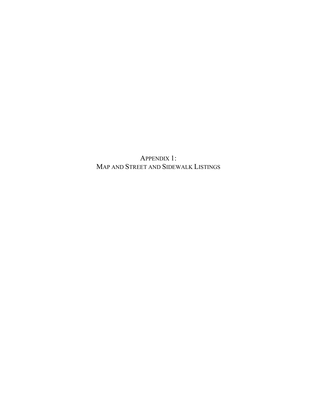APPENDIX 1: MAP AND STREET AND SIDEWALK LISTINGS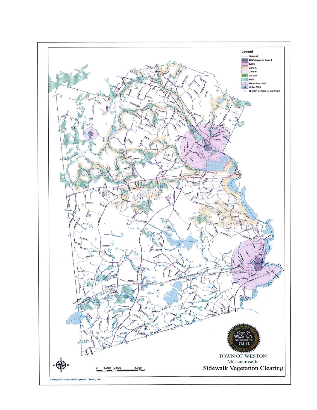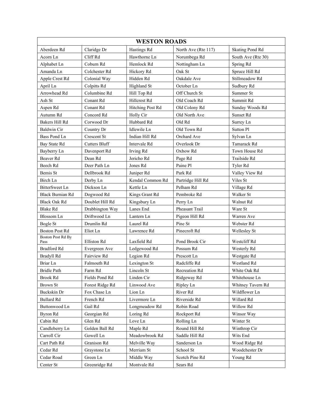| <b>WESTON ROADS</b>              |                      |                  |                     |                        |  |
|----------------------------------|----------------------|------------------|---------------------|------------------------|--|
| Aberdeen Rd                      | Claridge Dr          | Hastings Rd      | North Ave (Rte 117) | <b>Skating Pond Rd</b> |  |
| Acorn Ln                         | Cliff Rd             | Hawthorne Ln     | Norumbega Rd        | South Ave (Rte 30)     |  |
| Alphabet Ln                      | Coburn Rd            | Hemlock Rd       | Nottingham Ln       | Spring Rd              |  |
| Amanda Ln                        | Colchester Rd        | Hickory Rd       | Oak St              | Spruce Hill Rd         |  |
| Apple Crest Rd                   | Colonial Way         | Hidden Rd        | Oakdale Ave         | Stillmeadow Rd         |  |
| April Ln                         | Colpitts Rd          | Highland St      | October Ln          | Sudbury Rd             |  |
| Arrowhead Rd                     | Columbine Rd         | Hill Top Rd      | Off Church St       | Summer St              |  |
| Ash St                           | Conant Rd            | Hillcrest Rd     | Old Coach Rd        | Summit Rd              |  |
| Aspen Rd                         | Conant Rd            | Hitching Post Rd | Old Colony Rd       | Sunday Woods Rd        |  |
| Autumn Rd                        | Concord Rd           | Holly Cir        | Old North Ave       | Sunset Rd              |  |
| Bakers Hill Rd                   | Corwood Dr           | Hubbard Rd       | Old Rd              | Surrey Ln              |  |
| <b>Baldwin Cir</b>               | Country Dr           | Idlewile Ln      | Old Town Rd         | Sutton Pl              |  |
| Bass Pond Ln                     | <b>Crescent St</b>   | Indian Hill Rd   | Orchard Ave         | Sylvan Ln              |  |
| Bay State Rd                     | <b>Cutters Bluff</b> | Intervale Rd     | Overlook Dr         | Tamarack Rd            |  |
| Bayberry Ln                      | Davenport Rd         | Irving Rd        | Oxbow Rd            | Town House Rd          |  |
| Beaver Rd                        | Dean Rd              | Jericho Rd       | Page Rd             | Trailside Rd           |  |
| Beech Rd                         | Deer Path Ln         | Jones Rd         | Paine Pl            | Tyler Rd               |  |
| Bemis St                         | Dellbrook Rd         | Juniper Rd       | Park Rd             | Valley View Rd         |  |
| Birch Ln                         | Derby Ln             | Kendal Common Rd | Partridge Hill Rd   | Viles St               |  |
| <b>BitterSweet Ln</b>            | Dickson Ln           | Kettle Ln        | Pelham Rd           | Village Rd             |  |
| Black Burnian Rd                 | Dogwood Rd           | Kings Grant Rd   | Pembroke Rd         | Walker St              |  |
| <b>Black Oak Rd</b>              | Doublet Hill Rd      | Kingsbury Ln     | Perry Ln            | Walnut Rd              |  |
| <b>Blake Rd</b>                  | Drabbington Way      | Lanes End        | Pheasant Trail      | Ware St                |  |
| <b>Blossom</b> Ln                | Driftwood Ln         | Lantern Ln       | Pigeon Hill Rd      | Warren Ave             |  |
| Bogle St                         | Drumlin Rd           | Laurel Rd        | Pine St             | Webster Rd             |  |
| <b>Boston Post Rd</b>            | Eliot Ln             | Lawrence Rd      | Pinecroft Rd        | Wellesley St           |  |
| <b>Boston Post Rd By</b><br>Pass | Elliston Rd          | Laxfield Rd      | Pond Brook Cir      | Westcliff Rd           |  |
| <b>Bradford Rd</b>               | Evergreen Ave        | Ledgewood Rd     | Possum Rd           | Westerly Rd            |  |
| Bradyll Rd                       | Fairview Rd          | Legion Rd        | Prescott Ln         | Westgate Rd            |  |
| Briar Ln                         | Falmouth Rd          | Lexington St     | Radcliffe Rd        | Westland Rd            |  |
| <b>Bridle Path</b>               | Farm Rd              | Lincoln St       | Recreation Rd       | White Oak Rd           |  |
| Brook Rd                         | Fields Pond Rd       | Linden Cir       | Ridgeway Rd         | Whitehouse Ln          |  |
| Brown St                         | Forest Ridge Rd      | Linwood Ave      | Ripley Ln           | Whitney Tavern Rd      |  |
| Buckskin Dr                      | Fox Chase Ln         | Lion Ln          | River Rd            | Wildflower Ln          |  |
| <b>Bullard Rd</b>                | French Rd            | Livermore Ln     | Riverside Rd        | Willard Rd             |  |
| Buttonwood Ln                    | Gail Rd              | Longmeadow Rd    | Robin Road          | Willow Rd              |  |
| Byron Rd                         | Georgian Rd          | Loring Rd        | Rockport Rd         | Winsor Way             |  |
| Cabin Rd                         | Glen Rd              | Love Ln          | Rolling Ln          | Winter St              |  |
| Candleberry Ln                   | Golden Ball Rd       | Maple Rd         | Round Hill Rd       | Winthrop Cir           |  |
| Carroll Cir                      | Gowell Ln            | Meadowbrook Rd   | Saddle Hill Rd      | Wits End               |  |
| Cart Path Rd                     | Granison Rd          | Melville Way     | Sanderson Ln        | Wood Ridge Rd          |  |
| Cedar Rd                         | Graystone Ln         | Merriam St       | School St           | Woodchester Dr         |  |
| Cedar Road                       | Green Ln             | Middle Way       | Scotch Pine Rd      | Young Rd               |  |
| Center St                        | Greenridge Rd        | Montvale Rd      | Sears Rd            |                        |  |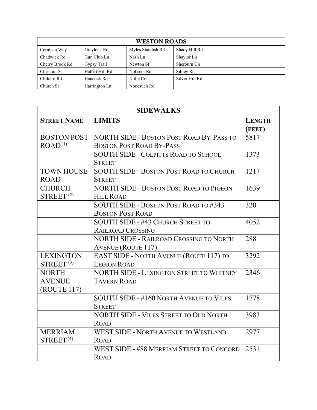| <b>WESTON ROADS</b> |                 |                   |                |  |
|---------------------|-----------------|-------------------|----------------|--|
| Cerulean Way        | Greylock Rd     | Myles Standish Rd | Shady Hill Rd  |  |
| Chadwick Rd         | Gun Club Ln     | Nash Ln           | Shaylor Ln     |  |
| Cherry Brook Rd     | Gypsy Trail     | Newton St         | Sherburn Cir   |  |
| Chestnut St         | Hallett Hill Rd | Nobscot Rd        | Sibley Rd      |  |
| Chiltern Rd         | Hancock Rd      | Nolte Cir         | Silver Hill Rd |  |
| Church St           | Harrington Ln   | Nonesuch Rd       |                |  |

| <b>SIDEWALKS</b>     |                                                 |                         |  |  |
|----------------------|-------------------------------------------------|-------------------------|--|--|
| <b>STREET NAME</b>   | <b>LIMITS</b>                                   | <b>LENGTH</b><br>(FEET) |  |  |
| <b>BOSTON POST</b>   | <b>NORTH SIDE - BOSTON POST ROAD BY-PASS TO</b> | 5817                    |  |  |
| ROAD <sup>(1)</sup>  | <b>BOSTON POST ROAD BY-PASS</b>                 |                         |  |  |
|                      | <b>SOUTH SIDE - COLPITTS ROAD TO SCHOOL</b>     | 1373                    |  |  |
|                      | <b>STREET</b>                                   |                         |  |  |
| <b>TOWN HOUSE</b>    | <b>SOUTH SIDE - BOSTON POST ROAD TO CHURCH</b>  | 1217                    |  |  |
| <b>ROAD</b>          | <b>STREET</b>                                   |                         |  |  |
| <b>CHURCH</b>        | <b>NORTH SIDE - BOSTON POST ROAD TO PIGEON</b>  | 1639                    |  |  |
| STREF <sup>(2)</sup> | <b>HILL ROAD</b>                                |                         |  |  |
|                      | SOUTH SIDE - BOSTON POST ROAD TO #343           | 320                     |  |  |
|                      | <b>BOSTON POST ROAD</b>                         |                         |  |  |
|                      | <b>SOUTH SIDE - #43 CHURCH STREET TO</b>        | 4052                    |  |  |
|                      | <b>RAILROAD CROSSING</b>                        |                         |  |  |
|                      | <b>NORTH SIDE - RAILROAD CROSSING TO NORTH</b>  | 288                     |  |  |
|                      | <b>AVENUE (ROUTE 117)</b>                       |                         |  |  |
| <b>LEXINGTON</b>     | <b>EAST SIDE - NORTH AVENUE (ROUTE 117) TO</b>  | 3292                    |  |  |
| STREF <sup>(3)</sup> | <b>LEGION ROAD</b>                              |                         |  |  |
| <b>NORTH</b>         | <b>NORTH SIDE - LEXINGTON STREET TO WHITNEY</b> | 2346                    |  |  |
| <b>AVENUE</b>        | <b>TAVERN ROAD</b>                              |                         |  |  |
| (ROUTE 117)          |                                                 |                         |  |  |
|                      | SOUTH SIDE - #160 NORTH AVENUE TO VILES         | 1778                    |  |  |
|                      | <b>STREET</b>                                   |                         |  |  |
|                      | <b>NORTH SIDE - VILES STREET TO OLD NORTH</b>   | 3983                    |  |  |
|                      | <b>ROAD</b>                                     |                         |  |  |
| <b>MERRIAM</b>       | <b>WEST SIDE - NORTH AVENUE TO WESTLAND</b>     | 2977                    |  |  |
| STREF <sup>(4)</sup> | <b>ROAD</b>                                     |                         |  |  |
|                      | WEST SIDE - #88 MERRIAM STREET TO CONCORD       | 2531                    |  |  |
|                      | <b>ROAD</b>                                     |                         |  |  |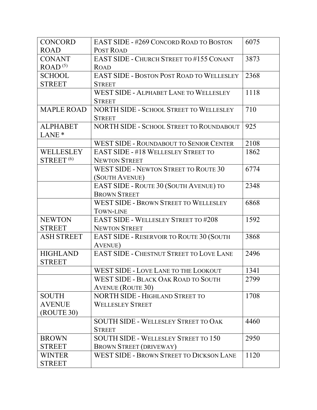| <b>CONCORD</b>      | <b>EAST SIDE - #269 CONCORD ROAD TO BOSTON</b>   | 6075 |
|---------------------|--------------------------------------------------|------|
| <b>ROAD</b>         | POST ROAD                                        |      |
| <b>CONANT</b>       | <b>EAST SIDE - CHURCH STREET TO #155 CONANT</b>  | 3873 |
| ROAD <sup>(5)</sup> | <b>ROAD</b>                                      |      |
| <b>SCHOOL</b>       | <b>EAST SIDE - BOSTON POST ROAD TO WELLESLEY</b> | 2368 |
| <b>STREET</b>       | <b>STREET</b>                                    |      |
|                     | <b>WEST SIDE - ALPHABET LANE TO WELLESLEY</b>    | 1118 |
|                     | <b>STREET</b>                                    |      |
| <b>MAPLE ROAD</b>   | NORTH SIDE - SCHOOL STREET TO WELLESLEY          | 710  |
|                     | <b>STREET</b>                                    |      |
| <b>ALPHABET</b>     | <b>NORTH SIDE - SCHOOL STREET TO ROUNDABOUT</b>  | 925  |
| LANE <sup>*</sup>   |                                                  |      |
|                     | <b>WEST SIDE - ROUNDABOUT TO SENIOR CENTER</b>   | 2108 |
| WELLESLEY           | <b>EAST SIDE - #18 WELLESLEY STREET TO</b>       | 1862 |
| STREF(6)            | <b>NEWTON STREET</b>                             |      |
|                     | <b>WEST SIDE - NEWTON STREET TO ROUTE 30</b>     | 6774 |
|                     | (SOUTH AVENUE)                                   |      |
|                     | EAST SIDE - ROUTE 30 (SOUTH AVENUE) TO           | 2348 |
|                     | <b>BROWN STREET</b>                              |      |
|                     | <b>WEST SIDE - BROWN STREET TO WELLESLEY</b>     | 6868 |
|                     | <b>TOWN-LINE</b>                                 |      |
| <b>NEWTON</b>       | <b>EAST SIDE - WELLESLEY STREET TO #208</b>      | 1592 |
| <b>STREET</b>       | <b>NEWTON STREET</b>                             |      |
| <b>ASH STREET</b>   | <b>EAST SIDE - RESERVOIR TO ROUTE 30 (SOUTH</b>  | 3868 |
|                     | <b>AVENUE</b> )                                  |      |
| <b>HIGHLAND</b>     | EAST SIDE - CHESTNUT STREET TO LOVE LANE         | 2496 |
| <b>STREET</b>       |                                                  |      |
|                     | WEST SIDE - LOVE LANE TO THE LOOKOUT             | 1341 |
|                     | <b>WEST SIDE - BLACK OAK ROAD TO SOUTH</b>       | 2799 |
|                     | <b>AVENUE (ROUTE 30)</b>                         |      |
| <b>SOUTH</b>        | <b>NORTH SIDE - HIGHLAND STREET TO</b>           | 1708 |
| <b>AVENUE</b>       | <b>WELLESLEY STREET</b>                          |      |
| (ROUTE 30)          |                                                  |      |
|                     | <b>SOUTH SIDE - WELLESLEY STREET TO OAK</b>      | 4460 |
|                     | <b>STREET</b>                                    |      |
| <b>BROWN</b>        | <b>SOUTH SIDE - WELLESLEY STREET TO 150</b>      | 2950 |
| <b>STREET</b>       | <b>BROWN STREET (DRIVEWAY)</b>                   |      |
| <b>WINTER</b>       | <b>WEST SIDE - BROWN STREET TO DICKSON LANE</b>  | 1120 |
| <b>STREET</b>       |                                                  |      |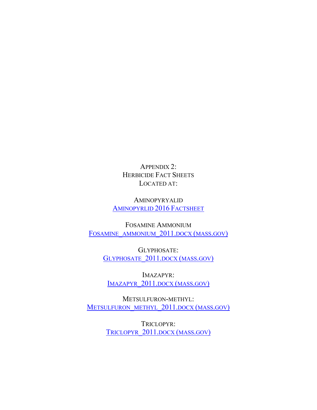APPENDIX 2: HERBICIDE FACT SHEETS LOCATED AT:

AMINOPYRYALID [AMINOPYRLID 2016](https://www.mass.gov/doc/aminopyralid/download) FACTSHEET

FOSAMINE AMMONIUM [FOSAMINE\\_AMMONIUM\\_2011.DOCX \(MASS.GOV\)](https://www.mass.gov/doc/fosamine-ammonium-2011pdf/download)

> GLYPHOSATE: GLYPHOSATE 2011.DOCX (MASS.GOV)

IMAZAPYR: [IMAZAPYR\\_2011.DOCX \(MASS.GOV\)](https://www.mass.gov/doc/imazapyr-2011pdf/download)

METSULFURON-METHYL: METSULFURON METHYL 2011.DOCX (MASS.GOV)

> TRICLOPYR: [TRICLOPYR\\_2011.DOCX \(MASS.GOV\)](https://www.mass.gov/doc/triclopyr-2011pdf/download)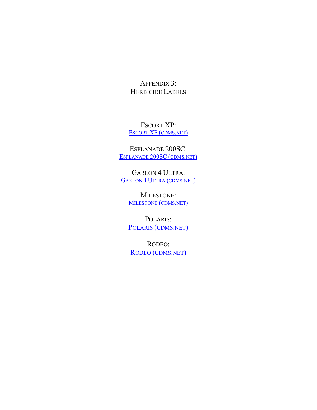APPENDIX 3: HERBICIDE LABELS

ESCORT XP: ESCORT XP [\(CDMS.NET\)](http://www.cdms.net/ldat/ldCFM002.pdf)

ESPLANADE 200SC: [ESPLANADE 200SC](http://www.cdms.net/ldat/ldAB1004.pdf) (CDMS.NET)

GARLON 4 ULTRA: GARLON 4 [ULTRA \(CDMS.NET\)](http://www.cdms.net/ldat/ld7IN017.pdf)

MILESTONE: [MILESTONE \(CDMS.NET\)](http://www.cdms.net/ldat/ld77N015.pdf)

POLARIS: [POLARIS \(CDMS.NET\)](http://www.cdms.net/ldat/ld8KR002.pdf)

RODEO: [RODEO \(CDMS.NET\)](http://www.cdms.net/ldat/ld4TN001.pdf)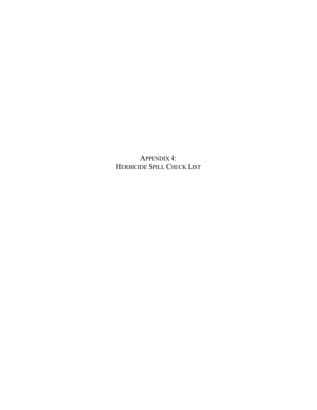APPENDIX 4: HERBICIDE SPILL CHECK LIST